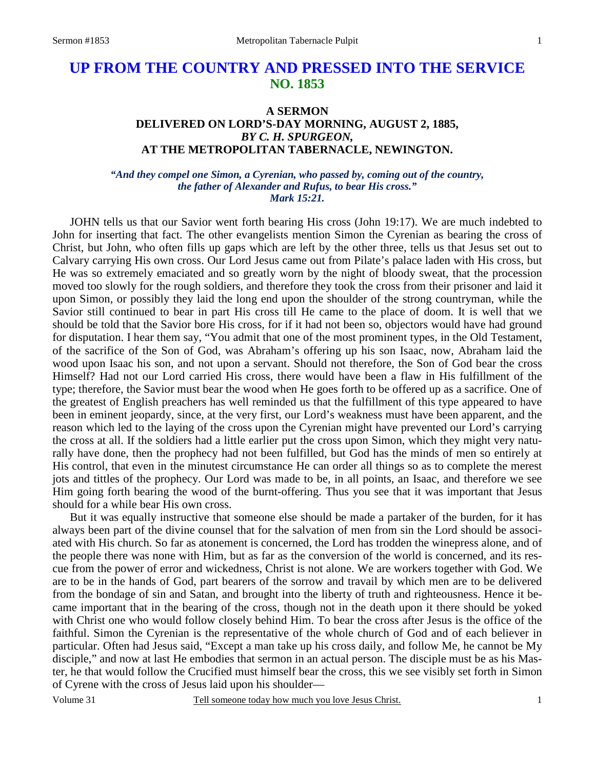# **UP FROM THE COUNTRY AND PRESSED INTO THE SERVICE NO. 1853**

# **A SERMON DELIVERED ON LORD'S-DAY MORNING, AUGUST 2, 1885,**  *BY C. H. SPURGEON,*  **AT THE METROPOLITAN TABERNACLE, NEWINGTON.**

#### *"And they compel one Simon, a Cyrenian, who passed by, coming out of the country, the father of Alexander and Rufus, to bear His cross." Mark 15:21.*

JOHN tells us that our Savior went forth bearing His cross (John 19:17). We are much indebted to John for inserting that fact. The other evangelists mention Simon the Cyrenian as bearing the cross of Christ, but John, who often fills up gaps which are left by the other three, tells us that Jesus set out to Calvary carrying His own cross. Our Lord Jesus came out from Pilate's palace laden with His cross, but He was so extremely emaciated and so greatly worn by the night of bloody sweat, that the procession moved too slowly for the rough soldiers, and therefore they took the cross from their prisoner and laid it upon Simon, or possibly they laid the long end upon the shoulder of the strong countryman, while the Savior still continued to bear in part His cross till He came to the place of doom. It is well that we should be told that the Savior bore His cross, for if it had not been so, objectors would have had ground for disputation. I hear them say, "You admit that one of the most prominent types, in the Old Testament, of the sacrifice of the Son of God, was Abraham's offering up his son Isaac, now, Abraham laid the wood upon Isaac his son, and not upon a servant. Should not therefore, the Son of God bear the cross Himself? Had not our Lord carried His cross, there would have been a flaw in His fulfillment of the type; therefore, the Savior must bear the wood when He goes forth to be offered up as a sacrifice. One of the greatest of English preachers has well reminded us that the fulfillment of this type appeared to have been in eminent jeopardy, since, at the very first, our Lord's weakness must have been apparent, and the reason which led to the laying of the cross upon the Cyrenian might have prevented our Lord's carrying the cross at all. If the soldiers had a little earlier put the cross upon Simon, which they might very naturally have done, then the prophecy had not been fulfilled, but God has the minds of men so entirely at His control, that even in the minutest circumstance He can order all things so as to complete the merest jots and tittles of the prophecy. Our Lord was made to be, in all points, an Isaac, and therefore we see Him going forth bearing the wood of the burnt-offering. Thus you see that it was important that Jesus should for a while bear His own cross.

 But it was equally instructive that someone else should be made a partaker of the burden, for it has always been part of the divine counsel that for the salvation of men from sin the Lord should be associated with His church. So far as atonement is concerned, the Lord has trodden the winepress alone, and of the people there was none with Him, but as far as the conversion of the world is concerned, and its rescue from the power of error and wickedness, Christ is not alone. We are workers together with God. We are to be in the hands of God, part bearers of the sorrow and travail by which men are to be delivered from the bondage of sin and Satan, and brought into the liberty of truth and righteousness. Hence it became important that in the bearing of the cross, though not in the death upon it there should be yoked with Christ one who would follow closely behind Him. To bear the cross after Jesus is the office of the faithful. Simon the Cyrenian is the representative of the whole church of God and of each believer in particular. Often had Jesus said, "Except a man take up his cross daily, and follow Me, he cannot be My disciple," and now at last He embodies that sermon in an actual person. The disciple must be as his Master, he that would follow the Crucified must himself bear the cross, this we see visibly set forth in Simon of Cyrene with the cross of Jesus laid upon his shoulder—

Volume 31 Tell someone today how much you love Jesus Christ.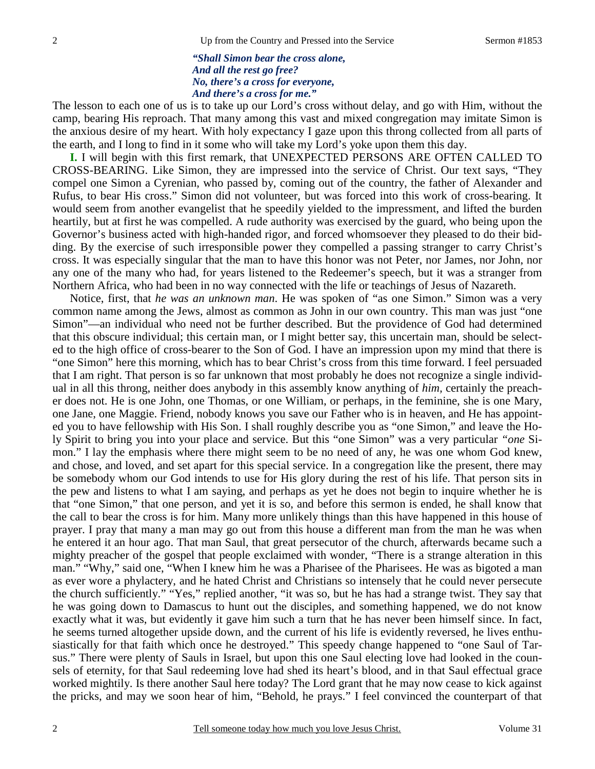*"Shall Simon bear the cross alone, And all the rest go free? No, there's a cross for everyone, And there's a cross for me."* 

The lesson to each one of us is to take up our Lord's cross without delay, and go with Him, without the camp, bearing His reproach. That many among this vast and mixed congregation may imitate Simon is the anxious desire of my heart. With holy expectancy I gaze upon this throng collected from all parts of the earth, and I long to find in it some who will take my Lord's yoke upon them this day.

**I.** I will begin with this first remark, that UNEXPECTED PERSONS ARE OFTEN CALLED TO CROSS-BEARING. Like Simon, they are impressed into the service of Christ. Our text says, "They compel one Simon a Cyrenian, who passed by, coming out of the country, the father of Alexander and Rufus, to bear His cross." Simon did not volunteer, but was forced into this work of cross-bearing. It would seem from another evangelist that he speedily yielded to the impressment, and lifted the burden heartily, but at first he was compelled. A rude authority was exercised by the guard, who being upon the Governor's business acted with high-handed rigor, and forced whomsoever they pleased to do their bidding. By the exercise of such irresponsible power they compelled a passing stranger to carry Christ's cross. It was especially singular that the man to have this honor was not Peter, nor James, nor John, nor any one of the many who had, for years listened to the Redeemer's speech, but it was a stranger from Northern Africa, who had been in no way connected with the life or teachings of Jesus of Nazareth.

 Notice, first, that *he was an unknown man*. He was spoken of "as one Simon." Simon was a very common name among the Jews, almost as common as John in our own country. This man was just "one Simon"—an individual who need not be further described. But the providence of God had determined that this obscure individual; this certain man, or I might better say, this uncertain man, should be selected to the high office of cross-bearer to the Son of God. I have an impression upon my mind that there is "one Simon" here this morning, which has to bear Christ's cross from this time forward. I feel persuaded that I am right. That person is so far unknown that most probably he does not recognize a single individual in all this throng, neither does anybody in this assembly know anything of *him,* certainly the preacher does not. He is one John, one Thomas, or one William, or perhaps, in the feminine, she is one Mary, one Jane, one Maggie. Friend, nobody knows you save our Father who is in heaven, and He has appointed you to have fellowship with His Son. I shall roughly describe you as "one Simon," and leave the Holy Spirit to bring you into your place and service. But this "one Simon" was a very particular *"one* Simon." I lay the emphasis where there might seem to be no need of any, he was one whom God knew, and chose, and loved, and set apart for this special service. In a congregation like the present, there may be somebody whom our God intends to use for His glory during the rest of his life. That person sits in the pew and listens to what I am saying, and perhaps as yet he does not begin to inquire whether he is that "one Simon," that one person, and yet it is so, and before this sermon is ended, he shall know that the call to bear the cross is for him. Many more unlikely things than this have happened in this house of prayer. I pray that many a man may go out from this house a different man from the man he was when he entered it an hour ago. That man Saul, that great persecutor of the church, afterwards became such a mighty preacher of the gospel that people exclaimed with wonder, "There is a strange alteration in this man." "Why," said one, "When I knew him he was a Pharisee of the Pharisees. He was as bigoted a man as ever wore a phylactery, and he hated Christ and Christians so intensely that he could never persecute the church sufficiently." "Yes," replied another, "it was so, but he has had a strange twist. They say that he was going down to Damascus to hunt out the disciples, and something happened, we do not know exactly what it was, but evidently it gave him such a turn that he has never been himself since. In fact, he seems turned altogether upside down, and the current of his life is evidently reversed, he lives enthusiastically for that faith which once he destroyed." This speedy change happened to "one Saul of Tarsus." There were plenty of Sauls in Israel, but upon this one Saul electing love had looked in the counsels of eternity, for that Saul redeeming love had shed its heart's blood, and in that Saul effectual grace worked mightily. Is there another Saul here today? The Lord grant that he may now cease to kick against the pricks, and may we soon hear of him, "Behold, he prays." I feel convinced the counterpart of that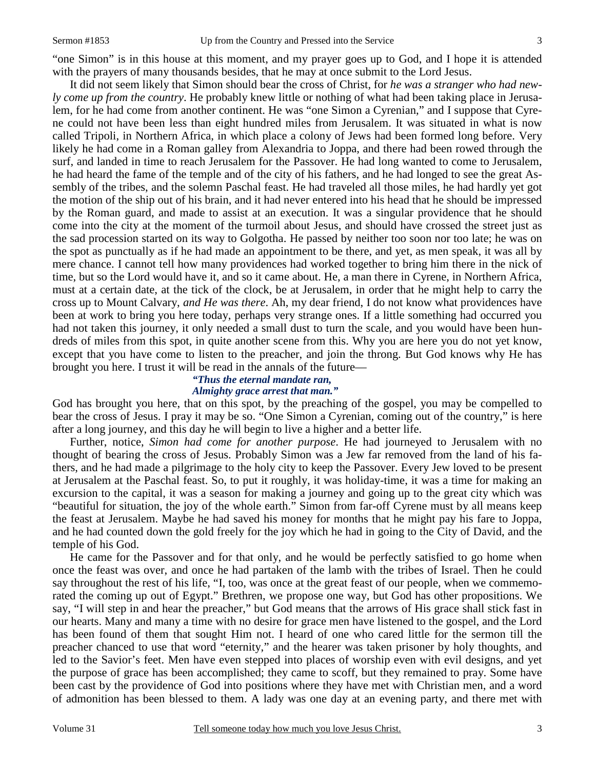"one Simon" is in this house at this moment, and my prayer goes up to God, and I hope it is attended with the prayers of many thousands besides, that he may at once submit to the Lord Jesus.

 It did not seem likely that Simon should bear the cross of Christ, for *he was a stranger who had newly come up from the country*. He probably knew little or nothing of what had been taking place in Jerusalem, for he had come from another continent. He was "one Simon a Cyrenian," and I suppose that Cyrene could not have been less than eight hundred miles from Jerusalem. It was situated in what is now called Tripoli, in Northern Africa, in which place a colony of Jews had been formed long before. Very likely he had come in a Roman galley from Alexandria to Joppa, and there had been rowed through the surf, and landed in time to reach Jerusalem for the Passover. He had long wanted to come to Jerusalem, he had heard the fame of the temple and of the city of his fathers, and he had longed to see the great Assembly of the tribes, and the solemn Paschal feast. He had traveled all those miles, he had hardly yet got the motion of the ship out of his brain, and it had never entered into his head that he should be impressed by the Roman guard, and made to assist at an execution. It was a singular providence that he should come into the city at the moment of the turmoil about Jesus, and should have crossed the street just as the sad procession started on its way to Golgotha. He passed by neither too soon nor too late; he was on the spot as punctually as if he had made an appointment to be there, and yet, as men speak, it was all by mere chance. I cannot tell how many providences had worked together to bring him there in the nick of time, but so the Lord would have it, and so it came about. He, a man there in Cyrene, in Northern Africa, must at a certain date, at the tick of the clock, be at Jerusalem, in order that he might help to carry the cross up to Mount Calvary, *and He was there*. Ah, my dear friend, I do not know what providences have been at work to bring you here today, perhaps very strange ones. If a little something had occurred you had not taken this journey, it only needed a small dust to turn the scale, and you would have been hundreds of miles from this spot, in quite another scene from this. Why you are here you do not yet know, except that you have come to listen to the preacher, and join the throng. But God knows why He has brought you here. I trust it will be read in the annals of the future—

## *"Thus the eternal mandate ran, Almighty grace arrest that man."*

God has brought you here, that on this spot, by the preaching of the gospel, you may be compelled to bear the cross of Jesus. I pray it may be so. "One Simon a Cyrenian, coming out of the country," is here after a long journey, and this day he will begin to live a higher and a better life.

 Further, notice, *Simon had come for another purpose*. He had journeyed to Jerusalem with no thought of bearing the cross of Jesus. Probably Simon was a Jew far removed from the land of his fathers, and he had made a pilgrimage to the holy city to keep the Passover. Every Jew loved to be present at Jerusalem at the Paschal feast. So, to put it roughly, it was holiday-time, it was a time for making an excursion to the capital, it was a season for making a journey and going up to the great city which was "beautiful for situation, the joy of the whole earth." Simon from far-off Cyrene must by all means keep the feast at Jerusalem. Maybe he had saved his money for months that he might pay his fare to Joppa, and he had counted down the gold freely for the joy which he had in going to the City of David, and the temple of his God.

 He came for the Passover and for that only, and he would be perfectly satisfied to go home when once the feast was over, and once he had partaken of the lamb with the tribes of Israel. Then he could say throughout the rest of his life, "I, too, was once at the great feast of our people, when we commemorated the coming up out of Egypt." Brethren, we propose one way, but God has other propositions. We say, "I will step in and hear the preacher," but God means that the arrows of His grace shall stick fast in our hearts. Many and many a time with no desire for grace men have listened to the gospel, and the Lord has been found of them that sought Him not. I heard of one who cared little for the sermon till the preacher chanced to use that word "eternity," and the hearer was taken prisoner by holy thoughts, and led to the Savior's feet. Men have even stepped into places of worship even with evil designs, and yet the purpose of grace has been accomplished; they came to scoff, but they remained to pray. Some have been cast by the providence of God into positions where they have met with Christian men, and a word of admonition has been blessed to them. A lady was one day at an evening party, and there met with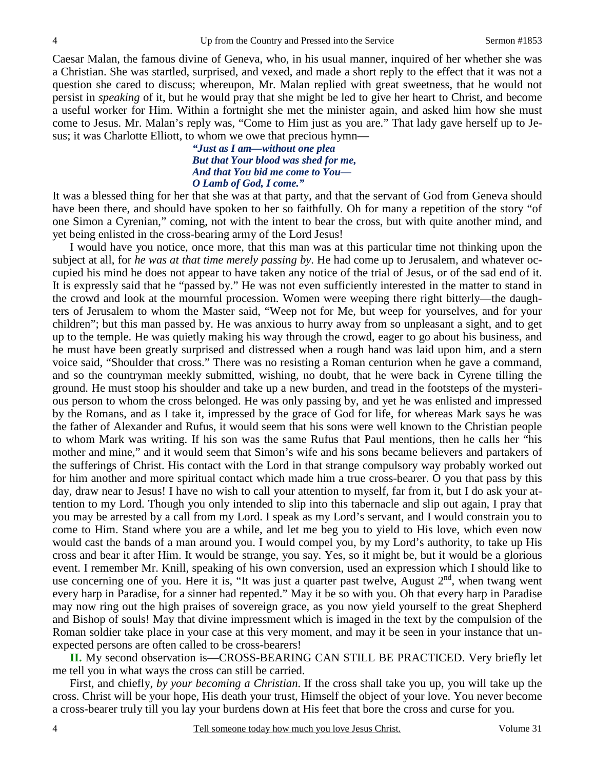Caesar Malan, the famous divine of Geneva, who, in his usual manner, inquired of her whether she was a Christian. She was startled, surprised, and vexed, and made a short reply to the effect that it was not a question she cared to discuss; whereupon, Mr. Malan replied with great sweetness, that he would not persist in *speaking* of it, but he would pray that she might be led to give her heart to Christ, and become a useful worker for Him. Within a fortnight she met the minister again, and asked him how she must come to Jesus. Mr. Malan's reply was, "Come to Him just as you are." That lady gave herself up to Jesus; it was Charlotte Elliott, to whom we owe that precious hymn—

> *"Just as I am—without one plea But that Your blood was shed for me, And that You bid me come to You— O Lamb of God, I come."*

It was a blessed thing for her that she was at that party, and that the servant of God from Geneva should have been there, and should have spoken to her so faithfully. Oh for many a repetition of the story "of one Simon a Cyrenian," coming, not with the intent to bear the cross, but with quite another mind, and yet being enlisted in the cross-bearing army of the Lord Jesus!

 I would have you notice, once more, that this man was at this particular time not thinking upon the subject at all, for *he was at that time merely passing by*. He had come up to Jerusalem, and whatever occupied his mind he does not appear to have taken any notice of the trial of Jesus, or of the sad end of it. It is expressly said that he "passed by." He was not even sufficiently interested in the matter to stand in the crowd and look at the mournful procession. Women were weeping there right bitterly—the daughters of Jerusalem to whom the Master said, "Weep not for Me, but weep for yourselves, and for your children"; but this man passed by. He was anxious to hurry away from so unpleasant a sight, and to get up to the temple. He was quietly making his way through the crowd, eager to go about his business, and he must have been greatly surprised and distressed when a rough hand was laid upon him, and a stern voice said, "Shoulder that cross." There was no resisting a Roman centurion when he gave a command, and so the countryman meekly submitted, wishing, no doubt, that he were back in Cyrene tilling the ground. He must stoop his shoulder and take up a new burden, and tread in the footsteps of the mysterious person to whom the cross belonged. He was only passing by, and yet he was enlisted and impressed by the Romans, and as I take it, impressed by the grace of God for life, for whereas Mark says he was the father of Alexander and Rufus, it would seem that his sons were well known to the Christian people to whom Mark was writing. If his son was the same Rufus that Paul mentions, then he calls her "his mother and mine," and it would seem that Simon's wife and his sons became believers and partakers of the sufferings of Christ. His contact with the Lord in that strange compulsory way probably worked out for him another and more spiritual contact which made him a true cross-bearer. O you that pass by this day, draw near to Jesus! I have no wish to call your attention to myself, far from it, but I do ask your attention to my Lord. Though you only intended to slip into this tabernacle and slip out again, I pray that you may be arrested by a call from my Lord. I speak as my Lord's servant, and I would constrain you to come to Him. Stand where you are a while, and let me beg you to yield to His love, which even now would cast the bands of a man around you. I would compel you, by my Lord's authority, to take up His cross and bear it after Him. It would be strange, you say. Yes, so it might be, but it would be a glorious event. I remember Mr. Knill, speaking of his own conversion, used an expression which I should like to use concerning one of you. Here it is, "It was just a quarter past twelve, August 2<sup>nd</sup>, when twang went every harp in Paradise, for a sinner had repented." May it be so with you. Oh that every harp in Paradise may now ring out the high praises of sovereign grace, as you now yield yourself to the great Shepherd and Bishop of souls! May that divine impressment which is imaged in the text by the compulsion of the Roman soldier take place in your case at this very moment, and may it be seen in your instance that unexpected persons are often called to be cross-bearers!

**II.** My second observation is—CROSS-BEARING CAN STILL BE PRACTICED. Very briefly let me tell you in what ways the cross can still be carried.

 First, and chiefly, *by your becoming a Christian*. If the cross shall take you up, you will take up the cross. Christ will be your hope, His death your trust, Himself the object of your love. You never become a cross-bearer truly till you lay your burdens down at His feet that bore the cross and curse for you.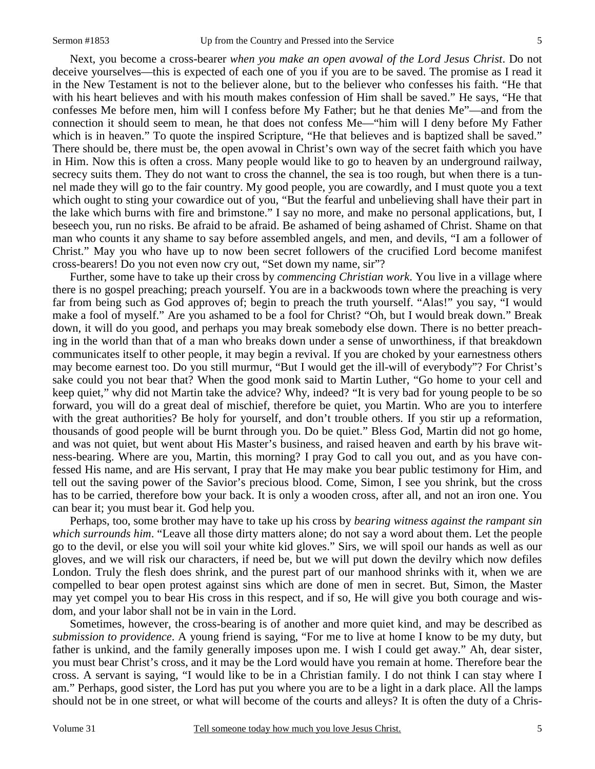Next, you become a cross-bearer *when you make an open avowal of the Lord Jesus Christ*. Do not deceive yourselves—this is expected of each one of you if you are to be saved. The promise as I read it in the New Testament is not to the believer alone, but to the believer who confesses his faith. "He that with his heart believes and with his mouth makes confession of Him shall be saved." He says, "He that confesses Me before men, him will I confess before My Father; but he that denies Me"—and from the connection it should seem to mean, he that does not confess Me—"him will I deny before My Father which is in heaven." To quote the inspired Scripture, "He that believes and is baptized shall be saved." There should be, there must be, the open avowal in Christ's own way of the secret faith which you have in Him. Now this is often a cross. Many people would like to go to heaven by an underground railway, secrecy suits them. They do not want to cross the channel, the sea is too rough, but when there is a tunnel made they will go to the fair country. My good people, you are cowardly, and I must quote you a text which ought to sting your cowardice out of you, "But the fearful and unbelieving shall have their part in the lake which burns with fire and brimstone." I say no more, and make no personal applications, but, I beseech you, run no risks. Be afraid to be afraid. Be ashamed of being ashamed of Christ. Shame on that man who counts it any shame to say before assembled angels, and men, and devils, "I am a follower of Christ." May you who have up to now been secret followers of the crucified Lord become manifest cross-bearers! Do you not even now cry out, "Set down my name, sir"?

 Further, some have to take up their cross by *commencing Christian work*. You live in a village where there is no gospel preaching; preach yourself. You are in a backwoods town where the preaching is very far from being such as God approves of; begin to preach the truth yourself. "Alas!" you say, "I would make a fool of myself." Are you ashamed to be a fool for Christ? "Oh, but I would break down." Break down, it will do you good, and perhaps you may break somebody else down. There is no better preaching in the world than that of a man who breaks down under a sense of unworthiness, if that breakdown communicates itself to other people, it may begin a revival. If you are choked by your earnestness others may become earnest too. Do you still murmur, "But I would get the ill-will of everybody"? For Christ's sake could you not bear that? When the good monk said to Martin Luther, "Go home to your cell and keep quiet," why did not Martin take the advice? Why, indeed? "It is very bad for young people to be so forward, you will do a great deal of mischief, therefore be quiet, you Martin. Who are you to interfere with the great authorities? Be holy for yourself, and don't trouble others. If you stir up a reformation, thousands of good people will be burnt through you. Do be quiet." Bless God, Martin did not go home, and was not quiet, but went about His Master's business, and raised heaven and earth by his brave witness-bearing. Where are you, Martin, this morning? I pray God to call you out, and as you have confessed His name, and are His servant, I pray that He may make you bear public testimony for Him, and tell out the saving power of the Savior's precious blood. Come, Simon, I see you shrink, but the cross has to be carried, therefore bow your back. It is only a wooden cross, after all, and not an iron one. You can bear it; you must bear it. God help you.

 Perhaps, too, some brother may have to take up his cross by *bearing witness against the rampant sin which surrounds him*. "Leave all those dirty matters alone; do not say a word about them. Let the people go to the devil, or else you will soil your white kid gloves." Sirs, we will spoil our hands as well as our gloves, and we will risk our characters, if need be, but we will put down the devilry which now defiles London. Truly the flesh does shrink, and the purest part of our manhood shrinks with it, when we are compelled to bear open protest against sins which are done of men in secret. But, Simon, the Master may yet compel you to bear His cross in this respect, and if so, He will give you both courage and wisdom, and your labor shall not be in vain in the Lord.

 Sometimes, however, the cross-bearing is of another and more quiet kind, and may be described as *submission to providence*. A young friend is saying, "For me to live at home I know to be my duty, but father is unkind, and the family generally imposes upon me. I wish I could get away." Ah, dear sister, you must bear Christ's cross, and it may be the Lord would have you remain at home. Therefore bear the cross. A servant is saying, "I would like to be in a Christian family. I do not think I can stay where I am." Perhaps, good sister, the Lord has put you where you are to be a light in a dark place. All the lamps should not be in one street, or what will become of the courts and alleys? It is often the duty of a Chris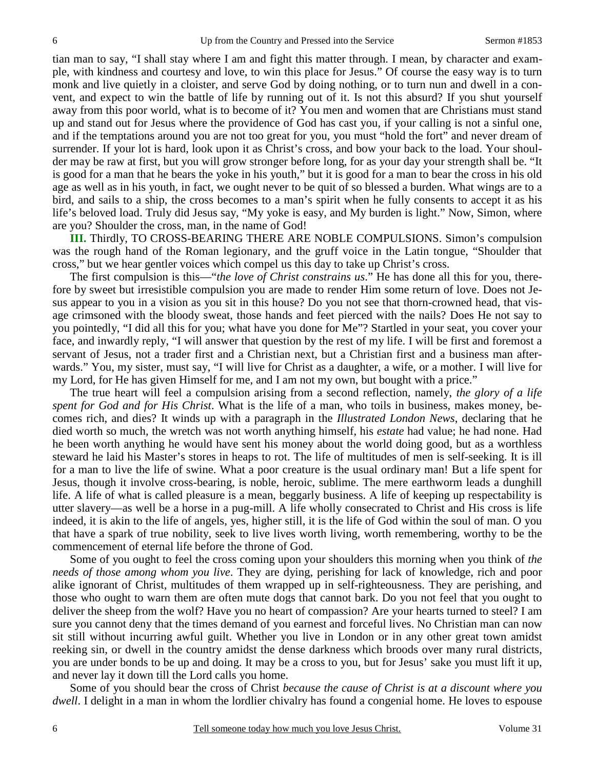tian man to say, "I shall stay where I am and fight this matter through. I mean, by character and example, with kindness and courtesy and love, to win this place for Jesus." Of course the easy way is to turn monk and live quietly in a cloister, and serve God by doing nothing, or to turn nun and dwell in a convent, and expect to win the battle of life by running out of it. Is not this absurd? If you shut yourself away from this poor world, what is to become of it? You men and women that are Christians must stand up and stand out for Jesus where the providence of God has cast you, if your calling is not a sinful one, and if the temptations around you are not too great for you, you must "hold the fort" and never dream of surrender. If your lot is hard, look upon it as Christ's cross, and bow your back to the load. Your shoulder may be raw at first, but you will grow stronger before long, for as your day your strength shall be. "It is good for a man that he bears the yoke in his youth," but it is good for a man to bear the cross in his old age as well as in his youth, in fact, we ought never to be quit of so blessed a burden. What wings are to a bird, and sails to a ship, the cross becomes to a man's spirit when he fully consents to accept it as his life's beloved load. Truly did Jesus say, "My yoke is easy, and My burden is light." Now, Simon, where are you? Shoulder the cross, man, in the name of God!

**III.** Thirdly, TO CROSS-BEARING THERE ARE NOBLE COMPULSIONS. Simon's compulsion was the rough hand of the Roman legionary, and the gruff voice in the Latin tongue, "Shoulder that cross," but we hear gentler voices which compel us this day to take up Christ's cross.

 The first compulsion is this—"*the love of Christ constrains us*." He has done all this for you, therefore by sweet but irresistible compulsion you are made to render Him some return of love. Does not Jesus appear to you in a vision as you sit in this house? Do you not see that thorn-crowned head, that visage crimsoned with the bloody sweat, those hands and feet pierced with the nails? Does He not say to you pointedly, "I did all this for you; what have you done for Me"? Startled in your seat, you cover your face, and inwardly reply, "I will answer that question by the rest of my life. I will be first and foremost a servant of Jesus, not a trader first and a Christian next, but a Christian first and a business man afterwards." You, my sister, must say, "I will live for Christ as a daughter, a wife, or a mother. I will live for my Lord, for He has given Himself for me, and I am not my own, but bought with a price."

 The true heart will feel a compulsion arising from a second reflection, namely, *the glory of a life spent for God and for His Christ*. What is the life of a man, who toils in business, makes money, becomes rich, and dies? It winds up with a paragraph in the *Illustrated London News*, declaring that he died worth so much, the wretch was not worth anything himself, his *estate* had value; he had none. Had he been worth anything he would have sent his money about the world doing good, but as a worthless steward he laid his Master's stores in heaps to rot. The life of multitudes of men is self-seeking. It is ill for a man to live the life of swine. What a poor creature is the usual ordinary man! But a life spent for Jesus, though it involve cross-bearing, is noble, heroic, sublime. The mere earthworm leads a dunghill life. A life of what is called pleasure is a mean, beggarly business. A life of keeping up respectability is utter slavery—as well be a horse in a pug-mill. A life wholly consecrated to Christ and His cross is life indeed, it is akin to the life of angels, yes, higher still, it is the life of God within the soul of man. O you that have a spark of true nobility, seek to live lives worth living, worth remembering, worthy to be the commencement of eternal life before the throne of God.

 Some of you ought to feel the cross coming upon your shoulders this morning when you think of *the needs of those among whom you live*. They are dying, perishing for lack of knowledge, rich and poor alike ignorant of Christ, multitudes of them wrapped up in self-righteousness. They are perishing, and those who ought to warn them are often mute dogs that cannot bark. Do you not feel that you ought to deliver the sheep from the wolf? Have you no heart of compassion? Are your hearts turned to steel? I am sure you cannot deny that the times demand of you earnest and forceful lives. No Christian man can now sit still without incurring awful guilt. Whether you live in London or in any other great town amidst reeking sin, or dwell in the country amidst the dense darkness which broods over many rural districts, you are under bonds to be up and doing. It may be a cross to you, but for Jesus' sake you must lift it up, and never lay it down till the Lord calls you home.

 Some of you should bear the cross of Christ *because the cause of Christ is at a discount where you dwell*. I delight in a man in whom the lordlier chivalry has found a congenial home. He loves to espouse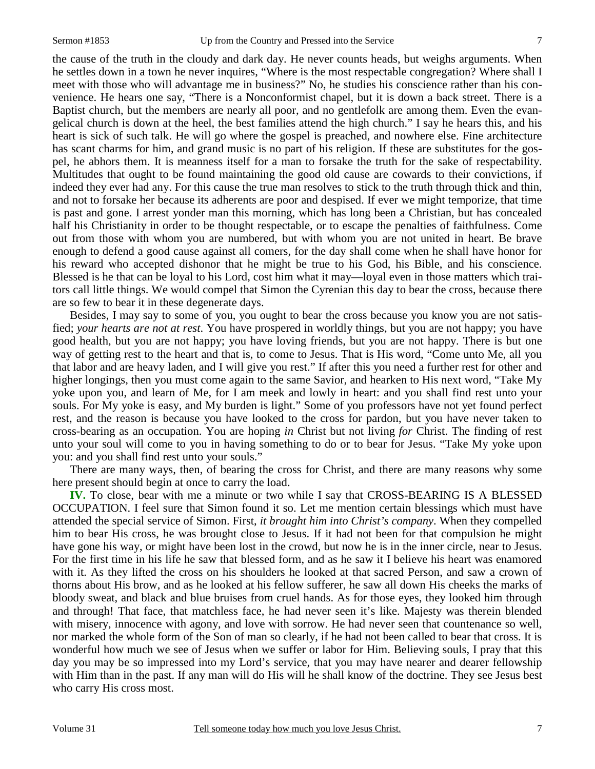the cause of the truth in the cloudy and dark day. He never counts heads, but weighs arguments. When he settles down in a town he never inquires, "Where is the most respectable congregation? Where shall I meet with those who will advantage me in business?" No, he studies his conscience rather than his convenience. He hears one say, "There is a Nonconformist chapel, but it is down a back street. There is a Baptist church, but the members are nearly all poor, and no gentlefolk are among them. Even the evangelical church is down at the heel, the best families attend the high church." I say he hears this, and his heart is sick of such talk. He will go where the gospel is preached, and nowhere else. Fine architecture has scant charms for him, and grand music is no part of his religion. If these are substitutes for the gospel, he abhors them. It is meanness itself for a man to forsake the truth for the sake of respectability. Multitudes that ought to be found maintaining the good old cause are cowards to their convictions, if indeed they ever had any. For this cause the true man resolves to stick to the truth through thick and thin, and not to forsake her because its adherents are poor and despised. If ever we might temporize, that time is past and gone. I arrest yonder man this morning, which has long been a Christian, but has concealed half his Christianity in order to be thought respectable, or to escape the penalties of faithfulness. Come out from those with whom you are numbered, but with whom you are not united in heart. Be brave enough to defend a good cause against all comers, for the day shall come when he shall have honor for his reward who accepted dishonor that he might be true to his God, his Bible, and his conscience. Blessed is he that can be loyal to his Lord, cost him what it may—loyal even in those matters which traitors call little things. We would compel that Simon the Cyrenian this day to bear the cross, because there are so few to bear it in these degenerate days.

 Besides, I may say to some of you, you ought to bear the cross because you know you are not satisfied; *your hearts are not at rest*. You have prospered in worldly things, but you are not happy; you have good health, but you are not happy; you have loving friends, but you are not happy. There is but one way of getting rest to the heart and that is, to come to Jesus. That is His word, "Come unto Me, all you that labor and are heavy laden, and I will give you rest." If after this you need a further rest for other and higher longings, then you must come again to the same Savior, and hearken to His next word, "Take My yoke upon you, and learn of Me, for I am meek and lowly in heart: and you shall find rest unto your souls. For My yoke is easy, and My burden is light." Some of you professors have not yet found perfect rest, and the reason is because you have looked to the cross for pardon, but you have never taken to cross-bearing as an occupation. You are hoping *in* Christ but not living *for* Christ. The finding of rest unto your soul will come to you in having something to do or to bear for Jesus. "Take My yoke upon you: and you shall find rest unto your souls."

 There are many ways, then, of bearing the cross for Christ, and there are many reasons why some here present should begin at once to carry the load.

**IV.** To close, bear with me a minute or two while I say that CROSS-BEARING IS A BLESSED OCCUPATION. I feel sure that Simon found it so. Let me mention certain blessings which must have attended the special service of Simon. First, *it brought him into Christ's company*. When they compelled him to bear His cross, he was brought close to Jesus. If it had not been for that compulsion he might have gone his way, or might have been lost in the crowd, but now he is in the inner circle, near to Jesus. For the first time in his life he saw that blessed form, and as he saw it I believe his heart was enamored with it. As they lifted the cross on his shoulders he looked at that sacred Person, and saw a crown of thorns about His brow, and as he looked at his fellow sufferer, he saw all down His cheeks the marks of bloody sweat, and black and blue bruises from cruel hands. As for those eyes, they looked him through and through! That face, that matchless face, he had never seen it's like. Majesty was therein blended with misery, innocence with agony, and love with sorrow. He had never seen that countenance so well, nor marked the whole form of the Son of man so clearly, if he had not been called to bear that cross. It is wonderful how much we see of Jesus when we suffer or labor for Him. Believing souls, I pray that this day you may be so impressed into my Lord's service, that you may have nearer and dearer fellowship with Him than in the past. If any man will do His will he shall know of the doctrine. They see Jesus best who carry His cross most.